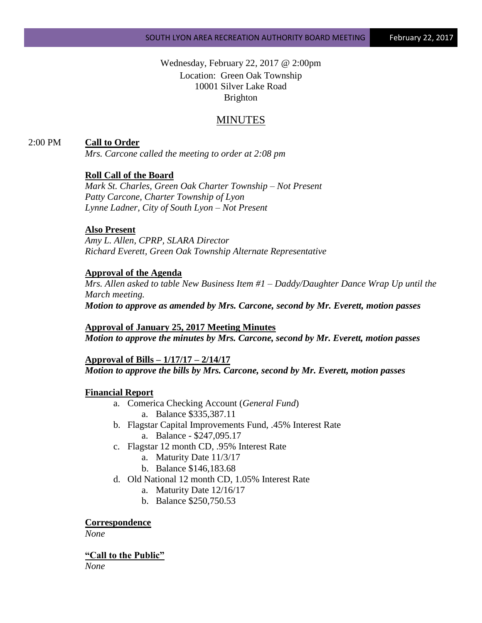Wednesday, February 22, 2017 @ 2:00pm Location: Green Oak Township 10001 Silver Lake Road Brighton

# MINUTES

# 2:00 PM **Call to Order**

*Mrs. Carcone called the meeting to order at 2:08 pm*

# **Roll Call of the Board**

*Mark St. Charles, Green Oak Charter Township – Not Present Patty Carcone, Charter Township of Lyon Lynne Ladner, City of South Lyon – Not Present*

# **Also Present**

*Amy L. Allen, CPRP, SLARA Director Richard Everett, Green Oak Township Alternate Representative*

# **Approval of the Agenda**

*Mrs. Allen asked to table New Business Item #1 – Daddy/Daughter Dance Wrap Up until the March meeting. Motion to approve as amended by Mrs. Carcone, second by Mr. Everett, motion passes*

**Approval of January 25, 2017 Meeting Minutes** *Motion to approve the minutes by Mrs. Carcone, second by Mr. Everett, motion passes*

#### **Approval of Bills – 1/17/17 – 2/14/17**

*Motion to approve the bills by Mrs. Carcone, second by Mr. Everett, motion passes*

### **Financial Report**

- a. Comerica Checking Account (*General Fund*) a. Balance \$335,387.11
- b. Flagstar Capital Improvements Fund, .45% Interest Rate
	- a. Balance \$247,095.17
- c. Flagstar 12 month CD, .95% Interest Rate
	- a. Maturity Date 11/3/17
	- b. Balance \$146,183.68
- d. Old National 12 month CD, 1.05% Interest Rate
	- a. Maturity Date 12/16/17
	- b. Balance \$250,750.53

**Correspondence**

*None*

**"Call to the Public"** *None*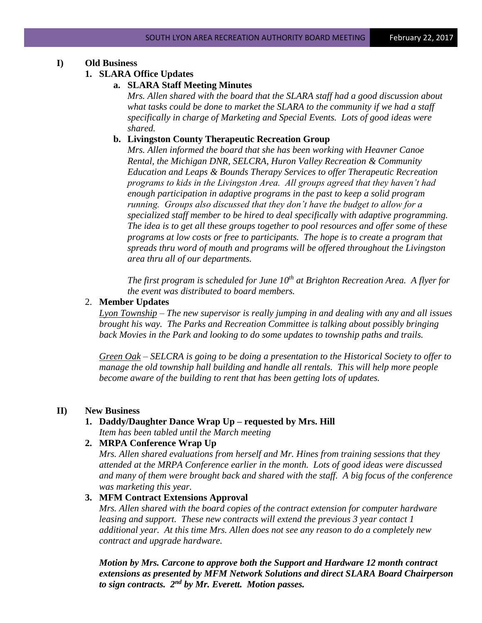# **I) Old Business**

# **1. SLARA Office Updates**

#### **a. SLARA Staff Meeting Minutes**

*Mrs. Allen shared with the board that the SLARA staff had a good discussion about what tasks could be done to market the SLARA to the community if we had a staff specifically in charge of Marketing and Special Events. Lots of good ideas were shared.*

### **b. Livingston County Therapeutic Recreation Group**

*Mrs. Allen informed the board that she has been working with Heavner Canoe Rental, the Michigan DNR, SELCRA, Huron Valley Recreation & Community Education and Leaps & Bounds Therapy Services to offer Therapeutic Recreation programs to kids in the Livingston Area. All groups agreed that they haven't had enough participation in adaptive programs in the past to keep a solid program running. Groups also discussed that they don't have the budget to allow for a specialized staff member to be hired to deal specifically with adaptive programming. The idea is to get all these groups together to pool resources and offer some of these programs at low costs or free to participants. The hope is to create a program that spreads thru word of mouth and programs will be offered throughout the Livingston area thru all of our departments.*

*The first program is scheduled for June 10<sup>th</sup> at Brighton Recreation Area. A flyer for the event was distributed to board members.*

### 2. **Member Updates**

*Lyon Township – The new supervisor is really jumping in and dealing with any and all issues brought his way. The Parks and Recreation Committee is talking about possibly bringing back Movies in the Park and looking to do some updates to township paths and trails.*

*Green Oak – SELCRA is going to be doing a presentation to the Historical Society to offer to manage the old township hall building and handle all rentals. This will help more people become aware of the building to rent that has been getting lots of updates.*

### **II) New Business**

### **1. Daddy/Daughter Dance Wrap Up – requested by Mrs. Hill** *Item has been tabled until the March meeting*

### **2. MRPA Conference Wrap Up**

*Mrs. Allen shared evaluations from herself and Mr. Hines from training sessions that they attended at the MRPA Conference earlier in the month. Lots of good ideas were discussed and many of them were brought back and shared with the staff. A big focus of the conference was marketing this year.*

### **3. MFM Contract Extensions Approval**

*Mrs. Allen shared with the board copies of the contract extension for computer hardware leasing and support. These new contracts will extend the previous 3 year contact 1 additional year. At this time Mrs. Allen does not see any reason to do a completely new contract and upgrade hardware.* 

*Motion by Mrs. Carcone to approve both the Support and Hardware 12 month contract extensions as presented by MFM Network Solutions and direct SLARA Board Chairperson to sign contracts. 2nd by Mr. Everett. Motion passes.*